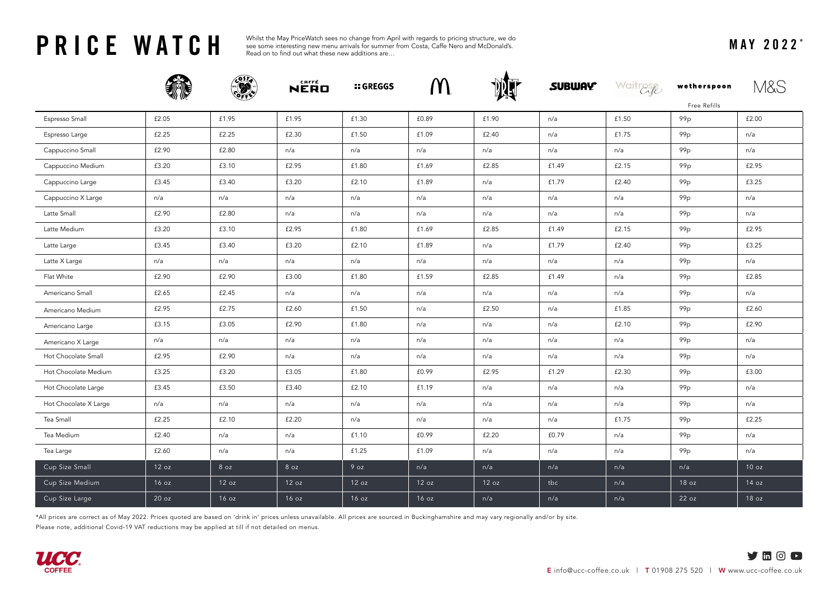**PRICE WATCH** See some interesting new menu arrivals for summer from Costa, Caffe Nero and McDonald's.<br>MAY 2022<sup>\*</sup><br>Read on to find out what these new additions are... see some interesting new menu arrivals for summer from Costa, Caffe Nero and McDonald's. Read on to find out what these new additions are…

|                       |       |       | NERO  | <b>:: GREGGS</b> | M     |       | <b>SUBWAY</b> | Waitrase | wetherspoon     |       |
|-----------------------|-------|-------|-------|------------------|-------|-------|---------------|----------|-----------------|-------|
|                       |       |       |       |                  |       |       |               |          | Free Refills    |       |
| Espresso Small        | £2.05 | £1.95 | £1.95 | £1.30            | £0.89 | £1.90 | n/a           | £1.50    | 99 <sub>p</sub> | £2.00 |
| Espresso Large        | £2.25 | £2.25 | £2.30 | £1.50            | £1.09 | £2.40 | n/a           | £1.75    | 99 <sub>p</sub> | n/a   |
| Cappuccino Small      | £2.90 | £2.80 | n/a   | n/a              | n/a   | n/a   | n/a           | n/a      | 99 <sub>p</sub> | n/a   |
| Cappuccino Medium     | £3.20 | £3.10 | £2.95 | £1.80            | £1.69 | £2.85 | £1.49         | £2.15    | 99 p            | £2.95 |
| Cappuccino Large      | £3.45 | £3.40 | £3.20 | £2.10            | £1.89 | n/a   | £1.79         | £2.40    | 99 <sub>p</sub> | £3.25 |
| Cappuccino X Large    | n/a   | n/a   | n/a   | n/a              | n/a   | n/a   | n/a           | n/a      | 99p             | n/a   |
| Latte Small           | £2.90 | £2.80 | n/a   | n/a              | n/a   | n/a   | n/a           | n/a      | 99 <sub>p</sub> | n/a   |
| Latte Medium          | £3.20 | £3.10 | £2.95 | £1.80            | £1.69 | £2.85 | £1.49         | £2.15    | 99 <sub>p</sub> | £2.95 |
| Latte Large           | £3.45 | £3.40 | £3.20 | £2.10            | £1.89 | n/a   | £1.79         | £2.40    | 99 <sub>p</sub> | £3.25 |
| Latte X Large         | n/a   | n/a   | n/a   | n/a              | n/a   | n/a   | n/a           | n/a      | 99 <sub>p</sub> | n/a   |
| Flat White            | £2.90 | £2.90 | £3.00 | £1.80            | £1.59 | £2.85 | £1.49         | n/a      | 99 <sub>p</sub> | £2.85 |
| Americano Small       | £2.65 | £2.45 | n/a   | n/a              | n/a   | n/a   | n/a           | n/a      | 99 <sub>p</sub> | n/a   |
| Americano Medium      | £2.95 | £2.75 | £2.60 | £1.50            | n/a   | £2.50 | n/a           | £1.85    | 99 <sub>p</sub> | £2.60 |
| Americano Large       | £3.15 | £3.05 | £2.90 | £1.80            | n/a   | n/a   | n/a           | £2.10    | 99 <sub>p</sub> | £2.90 |
| Americano X Large     | n/a   | n/a   | n/a   | n/a              | n/a   | n/a   | n/a           | n/a      | 99 <sub>p</sub> | n/a   |
| Hot Chocolate Small   | £2.95 | £2.90 | n/a   | n/a              | n/a   | n/a   | n/a           | n/a      | 99 <sub>p</sub> | n/a   |
| Hot Chocolate Medium  | £3.25 | £3.20 | £3.05 | £1.80            | £0.99 | £2.95 | £1.29         | £2.30    | 99 <sub>p</sub> | £3.00 |
| Hot Chocolate Large   | £3.45 | £3.50 | £3.40 | £2.10            | £1.19 | n/a   | n/a           | n/a      | 99 <sub>p</sub> | n/a   |
| Hot Chocolate X Large | n/a   | n/a   | n/a   | n/a              | n/a   | n/a   | n/a           | n/a      | 99 <sub>p</sub> | n/a   |
| Tea Small             | £2.25 | £2.10 | £2.20 | n/a              | n/a   | n/a   | n/a           | £1.75    | 99p             | £2.25 |
| Tea Medium            | £2.40 | n/a   | n/a   | £1.10            | £0.99 | £2.20 | £0.79         | n/a      | 99 <sub>p</sub> | n/a   |
| Tea Large             | £2.60 | n/a   | n/a   | £1.25            | £1.09 | n/a   | n/a           | n/a      | 99 <sub>p</sub> | n/a   |
| Cup Size Small        | 12 oz | 8 oz  | 8 oz  | 9 oz             | n/a   | n/a   | n/a           | n/a      | n/a             | 10 oz |
| Cup Size Medium       | 16 oz | 12 oz | 12 oz | 12 oz            | 12 oz | 12 oz | tbc           | n/a      | 18 oz           | 14 oz |
| Cup Size Large        | 20 oz | 16 oz | 16 oz | 16 oz            | 16 oz | n/a   | n/a           | n/a      | 22 oz           | 18 oz |

\*All prices are correct as of May 2022. Prices quoted are based on 'drink in' prices unless unavailable. All prices are sourced in Buckinghamshire and may vary regionally and/or by site.

Please note, additional Covid-19 VAT reductions may be applied at till if not detailed on menus.